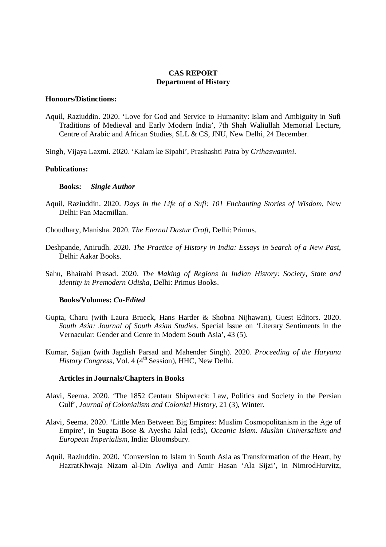# **CAS REPORT Department of History**

#### **Honours/Distinctions:**

Aquil, Raziuddin. 2020. 'Love for God and Service to Humanity: Islam and Ambiguity in Sufi Traditions of Medieval and Early Modern India', 7th Shah Waliullah Memorial Lecture, Centre of Arabic and African Studies, SLL & CS, JNU, New Delhi, 24 December.

Singh, Vijaya Laxmi. 2020. 'Kalam ke Sipahi', Prashashti Patra by *Grihaswamini*.

# **Publications:**

### **Books:** *Single Author*

Aquil, Raziuddin. 2020. *Days in the Life of a Sufi: 101 Enchanting Stories of Wisdom*, New Delhi: Pan Macmillan.

Choudhary, Manisha. 2020. *The Eternal Dastur Craft*, Delhi: Primus.

- Deshpande, Anirudh. 2020. *The Practice of History in India: Essays in Search of a New Past*, Delhi: Aakar Books.
- Sahu, Bhairabi Prasad. 2020. *The Making of Regions in Indian History: Society, State and Identity in Premodern Odisha*, Delhi: Primus Books.

# **Books/Volumes:** *Co-Edited*

- Gupta, Charu (with Laura Brueck, Hans Harder & Shobna Nijhawan), Guest Editors. 2020. *South Asia: Journal of South Asian Studies*. Special Issue on 'Literary Sentiments in the Vernacular: Gender and Genre in Modern South Asia', 43 (5).
- Kumar, Sajjan (with Jagdish Parsad and Mahender Singh). 2020. *Proceeding of the Haryana History Congress, Vol. 4 (4<sup>th</sup> Session), HHC, New Delhi.*

# **Articles in Journals/Chapters in Books**

- Alavi, Seema. 2020. 'The 1852 Centaur Shipwreck: Law, Politics and Society in the Persian Gulf', *Journal of Colonialism and Colonial History*, 21 (3), Winter.
- Alavi, Seema. 2020. 'Little Men Between Big Empires: Muslim Cosmopolitanism in the Age of Empire', in Sugata Bose & Ayesha Jalal (eds), *Oceanic Islam. Muslim Universalism and European Imperialism*, India: Bloomsbury.
- Aquil, Raziuddin. 2020. 'Conversion to Islam in South Asia as Transformation of the Heart, by HazratKhwaja Nizam al-Din Awliya and Amir Hasan 'Ala Sijzi', in NimrodHurvitz,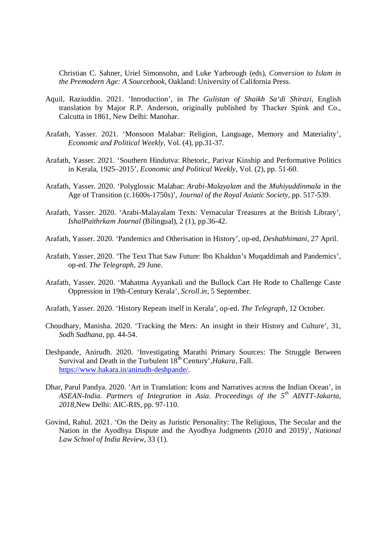Christian C. Sahner, Uriel Simonsohn, and Luke Yarbrough (eds), *Conversion to Islam in the Premodern Age: A Sourcebook*, Oakland: University of California Press.

- Aquil, Raziuddin. 2021. 'Introduction', in *The Gulistan of Shaikh Sa'di Shirazi*, English translation by Major R.P. Anderson, originally published by Thacker Spink and Co., Calcutta in 1861, New Delhi: Manohar.
- Arafath, Yasser. 2021. 'Monsoon Malabar: Religion, Language, Memory and Materiality', *Economic and Political Weekly*, Vol. (4), pp.31-37.
- Arafath, Yasser. 2021. 'Southern Hindutva: Rhetoric, Parivar Kinship and Performative Politics in Kerala, 1925–2015', *Economic and Political Weekly*, Vol. (2), pp. 51-60.
- Arafath, Yasser. 2020. 'Polyglossic Malabar: *Arabi-Malayalam* and the *Muhiyuddinmala* in the Age of Transition (c.1600s-1750s)', *Journal of the Royal Asiatic Society*, pp. 517-539.
- Arafath, Yasser. 2020. 'Arabi-Malayalam Texts: Vernacular Treasures at the British Library', *IshalPaithrkam Journal* (Bilingual), 2 (1), pp.36-42.
- Arafath, Yasser. 2020. 'Pandemics and Otherisation in History', op-ed, *Deshabhimani*, 27 April.
- Arafath, Yasser. 2020. 'The Text That Saw Future: Ibn Khaldun's Muqaddimah and Pandemics', op-ed. *The Telegraph*, 29 June.
- Arafath, Yasser. 2020. 'Mahatma Ayyankali and the Bullock Cart He Rode to Challenge Caste Oppression in 19th-Century Kerala', *Scroll.in*, 5 September.
- Arafath, Yasser. 2020. 'History Repeats itself in Kerala', op-ed. *The Telegraph*, 12 October.
- Choudhary, Manisha. 2020. 'Tracking the Mers: An insight in their History and Culture', 31, *Sodh Sadhana*, pp. 44-54.
- Deshpande, Anirudh. 2020. 'Investigating Marathi Primary Sources: The Struggle Between Survival and Death in the Turbulent 18<sup>th</sup> Century', *Hakara*, Fall. https://www.hakara.in/anirudh-deshpande/.
- Dhar, Parul Pandya. 2020. 'Art in Translation: Icons and Narratives across the Indian Ocean', in *ASEAN-India. Partners of Integration in Asia. Proceedings of the 5th AINTT-Jakarta, 2018,*New Delhi: AIC-RIS, pp. 97-110.
- Govind, Rahul. 2021. 'On the Deity as Juristic Personality: The Religious, The Secular and the Nation in the Ayodhya Dispute and the Ayodhya Judgments (2010 and 2019)', *National Law School of India Review,* 33 (1).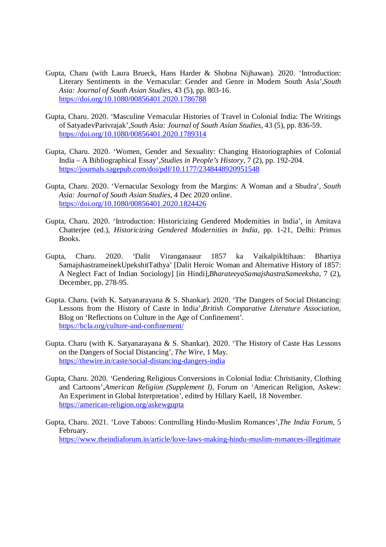- Gupta, Charu (with Laura Brueck, Hans Harder & Shobna Nijhawan). 2020. 'Introduction: Literary Sentiments in the Vernacular: Gender and Genre in Modern South Asia',*South Asia: Journal of South Asian Studies*, 43 (5), pp. 803-16. https://doi.org/10.1080/00856401.2020.1786788
- Gupta, Charu. 2020. 'Masculine Vernacular Histories of Travel in Colonial India: The Writings of SatyadevParivrajak',*South Asia: Journal of South Asian Studies*, 43 (5), pp. 836-59. https://doi.org/10.1080/00856401.2020.1789314
- Gupta, Charu. 2020. 'Women, Gender and Sexuality: Changing Historiographies of Colonial India – A Bibliographical Essay',*Studies in People's History*, 7 (2), pp. 192-204. https://journals.sagepub.com/doi/pdf/10.1177/2348448920951548
- Gupta, Charu. 2020. 'Vernacular Sexology from the Margins: A Woman and a Shudra', *South Asia: Journal of South Asian Studies*, 4 Dec 2020 online. https://doi.org/10.1080/00856401.2020.1824426
- Gupta, Charu. 2020. 'Introduction: Historicizing Gendered Modernities in India', in Amitava Chatterjee (ed.), *Historicizing Gendered Modernities in India*, pp. 1-21, Delhi: Primus Books.
- Gupta, Charu. 2020. 'Dalit Viranganaaur 1857 ka VaikalpikItihaas: Bhartiya SamajshastrameinekUpekshitTathya' [Dalit Heroic Woman and Alternative History of 1857: A Neglect Fact of Indian Sociology] [in Hindi],*BharateeyaSamajshastraSameeksha,* 7 (2), December, pp. 278-95.
- Gupta. Charu. (with K. Satyanarayana & S. Shankar). 2020. 'The Dangers of Social Distancing: Lessons from the History of Caste in India',*British Comparative Literature Association,* Blog on 'Reflections on Culture in the Age of Confinement'. https://bcla.org/culture-and-confinement/
- Gupta. Charu (with K. Satyanarayana & S. Shankar). 2020. 'The History of Caste Has Lessons on the Dangers of Social Distancing', *The Wire*, 1 May*.* https://thewire.in/caste/social-distancing-dangers-india
- Gupta, Charu. 2020. 'Gendering Religious Conversions in Colonial India: Christianity, Clothing and Cartoons',*American Religion (Supplement I),* Forum on 'American Religion, Askew: An Experiment in Global Interpretation', edited by Hillary Kaell, 18 November. https://american-religion.org/askewgupta
- Gupta, Charu. 2021. 'Love Taboos: Controlling Hindu-Muslim Romances',*The India Forum*, 5 February. https://www.theindiaforum.in/article/love-laws-making-hindu-muslim-romances-illegitimate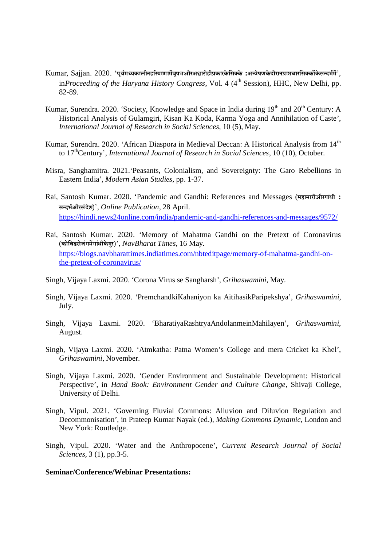- Kumar, Sajjan. 2020. 'पूर्वमध्यकालीनहरियाणामेंवुषभऔरअश्वारोहीप्रकारकेसिक्के :अन्वेषणकेदौरानप्राप्तचारसिक्कोंकेसन्दर्भमें', in*Proceeding of the Haryana History Congress*, Vol. 4 (4<sup>th</sup> Session), HHC, New Delhi, pp. 82-89*.*
- Kumar, Surendra. 2020. 'Society, Knowledge and Space in India during 19<sup>th</sup> and 20<sup>th</sup> Century: A Historical Analysis of Gulamgiri, Kisan Ka Koda, Karma Yoga and Annihilation of Caste', *International Journal of Research in Social Sciences*, 10 (5), May.
- Kumar, Surendra. 2020. 'African Diaspora in Medieval Deccan: A Historical Analysis from 14<sup>th</sup> to 17thCentury', *International Journal of Research in Social Sciences*, 10 (10), October.
- Misra, Sanghamitra. 2021.'Peasants, Colonialism, and Sovereignty: The Garo Rebellions in Eastern India', *Modern Asian Studies,* pp. 1-37.
- Rai, Santosh Kumar. 2020. 'Pandemic and Gandhi: References and Messages (**महामारीऔरगांधी : सÆदभªऔरसंदेश**)', *Online Publication*, 28 April. https://hindi.news24online.com/india/pandemic-and-gandhi-references-and-messages/9572/
- Rai, Santosh Kumar. 2020. 'Memory of Mahatma Gandhi on the Pretext of Coronavirus (**कोिवडसेजंगम¤गांधीके गुर**)', *NavBharat Times*, 16 May. https://blogs.navbharattimes.indiatimes.com/nbteditpage/memory-of-mahatma-gandhi-onthe-pretext-of-coronavirus/
- Singh, Vijaya Laxmi. 2020. 'Corona Virus se Sangharsh', *Grihaswamini,* May.
- Singh, Vijaya Laxmi. 2020. 'PremchandkiKahaniyon ka AitihasikParipekshya', *Grihaswamini,*  July.
- Singh, Vijaya Laxmi. 2020. 'BharatiyaRashtryaAndolanmeinMahilayen', *Grihaswamini,*  August.
- Singh, Vijaya Laxmi. 2020. 'Atmkatha: Patna Women's College and mera Cricket ka Khel', *Grihaswamini,* November.
- Singh, Vijaya Laxmi. 2020. 'Gender Environment and Sustainable Development: Historical Perspective', in *Hand Book: Environment Gender and Culture Change*, Shivaji College, University of Delhi.
- Singh, Vipul. 2021. 'Governing Fluvial Commons: Alluvion and Diluvion Regulation and Decommonisation', in Prateep Kumar Nayak (ed.), *Making Commons Dynamic,* London and New York: Routledge.
- Singh, Vipul. 2020. 'Water and the Anthropocene', *Current Research Journal of Social Sciences,* 3 (1), pp.3-5.

#### **Seminar/Conference/Webinar Presentations:**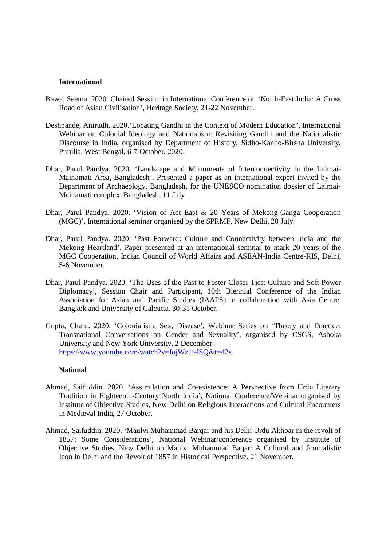#### **International**

- Bawa, Seema. 2020. Chaired Session in International Conference on 'North-East India: A Cross Road of Asian Civilisation', Heritage Society, 21-22 November.
- Deshpande, Anirudh. 2020.'Locating Gandhi in the Context of Modern Education', International Webinar on Colonial Ideology and Nationalism: Revisiting Gandhi and the Nationalistic Discourse in India, organised by Department of History, Sidho-Kanho-Birsha University, Purulia, West Bengal, 6-7 October, 2020.
- Dhar, Parul Pandya. 2020. 'Landscape and Monuments of Interconnectivity in the Lalmai-Mainamati Area, Bangladesh', Presented a paper as an international expert invited by the Department of Archaeology, Bangladesh, for the UNESCO nomination dossier of Lalmai-Mainamati complex, Bangladesh, 11 July.
- Dhar, Parul Pandya. 2020. 'Vision of Act East & 20 Years of Mekong-Ganga Cooperation (MGC)', International seminar organised by the SPRMF, New Delhi, 20 July.
- Dhar, Parul Pandya. 2020. 'Past Forward: Culture and Connectivity between India and the Mekong Heartland', Paper presented at an international seminar to mark 20 years of the MGC Cooperation, Indian Council of World Affairs and ASEAN-India Centre-RIS, Delhi, 5-6 November.
- Dhar, Parul Pandya. 2020. 'The Uses of the Past to Foster Closer Ties: Culture and Soft Power Diplomacy', Session Chair and Participant, 10th Biennial Conference of the Indian Association for Asian and Pacific Studies (IAAPS) in collaboration with Asia Centre, Bangkok and University of Calcutta, 30-31 October.
- Gupta, Charu. 2020. 'Colonialism, Sex, Disease', Webinar Series on 'Theory and Practice: Transnational Conversations on Gender and Sexuality', organised by CSGS, Ashoka University and New York University, 2 December. https://www.youtube.com/watch?v=IojWz1t-ISQ&t=42s

#### **National**

- Ahmad, Saifuddin. 2020. 'Assimilation and Co-existence: A Perspective from Urdu Literary Tradition in Eighteenth-Century North India', National Conference/Webinar organised by Institute of Objective Studies, New Delhi on Religious Interactions and Cultural Encounters in Medieval India, 27 October.
- Ahmad, Saifuddin. 2020. 'Maulvi Muhammad Barqar and his Delhi Urdu Akhbar in the revolt of 1857: Some Considerations', National Webinar/conference organised by Institute of Objective Studies, New Delhi on Maulvi Muhammad Baqar: A Cultural and Journalistic Icon in Delhi and the Revolt of 1857 in Historical Perspective, 21 November.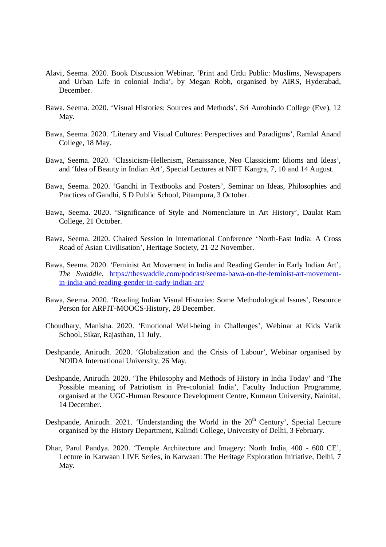- Alavi, Seema. 2020. Book Discussion Webinar, 'Print and Urdu Public: Muslims, Newspapers and Urban Life in colonial India', by Megan Robb, organised by AIRS, Hyderabad, December.
- Bawa. Seema. 2020. 'Visual Histories: Sources and Methods', Sri Aurobindo College (Eve), 12 May.
- Bawa, Seema. 2020. 'Literary and Visual Cultures: Perspectives and Paradigms', Ramlal Anand College, 18 May.
- Bawa, Seema. 2020. 'Classicism-Hellenism, Renaissance, Neo Classicism: Idioms and Ideas', and 'Idea of Beauty in Indian Art', Special Lectures at NIFT Kangra, 7, 10 and 14 August.
- Bawa, Seema. 2020. 'Gandhi in Textbooks and Posters', Seminar on Ideas, Philosophies and Practices of Gandhi, S D Public School, Pitampura, 3 October.
- Bawa, Seema. 2020. 'Significance of Style and Nomenclature in Art History', Daulat Ram College, 21 October.
- Bawa, Seema. 2020. Chaired Session in International Conference 'North-East India: A Cross Road of Asian Civilisation', Heritage Society, 21-22 November.
- Bawa, Seema. 2020. 'Feminist Art Movement in India and Reading Gender in Early Indian Art', *The Swaddle*. https://theswaddle.com/podcast/seema-bawa-on-the-feminist-art-movementin-india-and-reading-gender-in-early-indian-art/
- Bawa, Seema. 2020. 'Reading Indian Visual Histories: Some Methodological Issues', Resource Person for ARPIT-MOOCS-History, 28 December.
- Choudhary, Manisha. 2020. 'Emotional Well-being in Challenges', Webinar at Kids Vatik School, Sikar, Rajasthan, 11 July.
- Deshpande, Anirudh. 2020. 'Globalization and the Crisis of Labour', Webinar organised by NOIDA International University, 26 May.
- Deshpande, Anirudh. 2020. 'The Philosophy and Methods of History in India Today' and 'The Possible meaning of Patriotism in Pre-colonial India', Faculty Induction Programme, organised at the UGC-Human Resource Development Centre, Kumaun University, Nainital, 14 December.
- Deshpande, Anirudh. 2021. 'Understanding the World in the  $20<sup>th</sup>$  Century', Special Lecture organised by the History Department, Kalindi College, University of Delhi, 3 February.
- Dhar, Parul Pandya. 2020. 'Temple Architecture and Imagery: North India, 400 600 CE', Lecture in Karwaan LIVE Series, in Karwaan: The Heritage Exploration Initiative, Delhi, 7 May.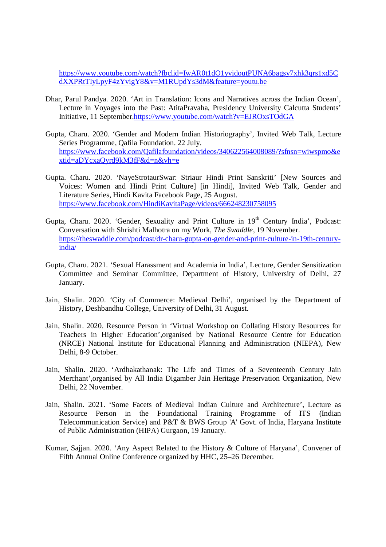https://www.youtube.com/watch?fbclid=IwAR0t1dO1yvidoutPUNA6bagsy7xhk3qrs1xd5C dXXPRtTIyLpyF4zYvigY8&v=M1RUpdYs3dM&feature=youtu.be

- Dhar, Parul Pandya. 2020. 'Art in Translation: Icons and Narratives across the Indian Ocean', Lecture in Voyages into the Past: AtitaPravaha, Presidency University Calcutta Students' Initiative, 11 September.https://www.youtube.com/watch?v=EJROxsTOdGA
- Gupta, Charu. 2020. 'Gender and Modern Indian Historiography', Invited Web Talk, Lecture Series Programme, Qafila Foundation. 22 July. https://www.facebook.com/Qafilafoundation/videos/340622564008089/?sfnsn=wiwspmo&e xtid=aDYcxaQyrd9kM3fF&d=n&vh=e
- Gupta. Charu. 2020. 'NayeStrotaurSwar: Striaur Hindi Print Sanskriti' [New Sources and Voices: Women and Hindi Print Culture] [in Hindi], Invited Web Talk, Gender and Literature Series, Hindi Kavita Facebook Page, 25 August. https://www.facebook.com/HindiKavitaPage/videos/666248230758095
- Gupta, Charu. 2020. 'Gender, Sexuality and Print Culture in 19<sup>th</sup> Century India', Podcast: Conversation with Shrishti Malhotra on my Work, *The Swaddle*, 19 November. https://theswaddle.com/podcast/dr-charu-gupta-on-gender-and-print-culture-in-19th-centuryindia/
- Gupta, Charu. 2021. 'Sexual Harassment and Academia in India', Lecture, Gender Sensitization Committee and Seminar Committee, Department of History, University of Delhi, 27 January.
- Jain, Shalin. 2020. 'City of Commerce: Medieval Delhi', organised by the Department of History, Deshbandhu College, University of Delhi, 31 August.
- Jain, Shalin. 2020. Resource Person in 'Virtual Workshop on Collating History Resources for Teachers in Higher Education',organised by National Resource Centre for Education (NRCE) National Institute for Educational Planning and Administration (NIEPA), New Delhi, 8-9 October.
- Jain, Shalin. 2020. 'Ardhakathanak: The Life and Times of a Seventeenth Century Jain Merchant',organised by All India Digamber Jain Heritage Preservation Organization, New Delhi, 22 November.
- Jain, Shalin. 2021. 'Some Facets of Medieval Indian Culture and Architecture', Lecture as Resource Person in the Foundational Training Programme of ITS (Indian Telecommunication Service) and P&T & BWS Group 'A' Govt. of India, Haryana Institute of Public Administration (HIPA) Gurgaon, 19 January.
- Kumar, Sajjan. 2020. 'Any Aspect Related to the History & Culture of Haryana', Convener of Fifth Annual Online Conference organized by HHC, 25–26 December*.*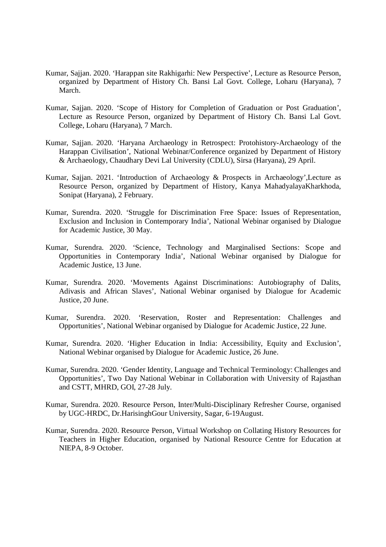- Kumar, Sajjan. 2020. 'Harappan site Rakhigarhi: New Perspective', Lecture as Resource Person, organized by Department of History Ch. Bansi Lal Govt. College, Loharu (Haryana), 7 March.
- Kumar, Sajjan. 2020. 'Scope of History for Completion of Graduation or Post Graduation', Lecture as Resource Person, organized by Department of History Ch. Bansi Lal Govt. College, Loharu (Haryana), 7 March.
- Kumar, Sajjan. 2020*.* 'Haryana Archaeology in Retrospect: Protohistory-Archaeology of the Harappan Civilisation', National Webinar/Conference organized by Department of History & Archaeology, Chaudhary Devi Lal University (CDLU), Sirsa (Haryana), 29 April.
- Kumar, Sajjan. 2021. 'Introduction of Archaeology & Prospects in Archaeology',Lecture as Resource Person, organized by Department of History, Kanya MahadyalayaKharkhoda, Sonipat (Haryana), 2 February.
- Kumar, Surendra. 2020. 'Struggle for Discrimination Free Space: Issues of Representation, Exclusion and Inclusion in Contemporary India', National Webinar organised by Dialogue for Academic Justice, 30 May.
- Kumar, Surendra. 2020. 'Science, Technology and Marginalised Sections: Scope and Opportunities in Contemporary India', National Webinar organised by Dialogue for Academic Justice, 13 June.
- Kumar, Surendra. 2020. 'Movements Against Discriminations: Autobiography of Dalits, Adivasis and African Slaves', National Webinar organised by Dialogue for Academic Justice, 20 June.
- Kumar, Surendra. 2020. 'Reservation, Roster and Representation: Challenges and Opportunities', National Webinar organised by Dialogue for Academic Justice, 22 June.
- Kumar, Surendra. 2020. 'Higher Education in India: Accessibility, Equity and Exclusion', National Webinar organised by Dialogue for Academic Justice, 26 June.
- Kumar, Surendra. 2020. 'Gender Identity, Language and Technical Terminology: Challenges and Opportunities', Two Day National Webinar in Collaboration with University of Rajasthan and CSTT, MHRD, GOI, 27-28 July.
- Kumar, Surendra. 2020. Resource Person, Inter/Multi-Disciplinary Refresher Course, organised by UGC-HRDC, Dr.HarisinghGour University, Sagar, 6-19August.
- Kumar, Surendra. 2020. Resource Person, Virtual Workshop on Collating History Resources for Teachers in Higher Education, organised by National Resource Centre for Education at NIEPA, 8-9 October.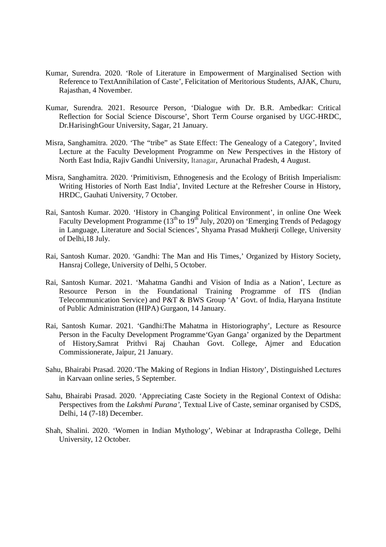- Kumar, Surendra. 2020. 'Role of Literature in Empowerment of Marginalised Section with Reference to TextAnnihilation of Caste', Felicitation of Meritorious Students, AJAK, Churu, Rajasthan, 4 November.
- Kumar, Surendra. 2021. Resource Person, 'Dialogue with Dr. B.R. Ambedkar: Critical Reflection for Social Science Discourse', Short Term Course organised by UGC-HRDC, Dr.HarisinghGour University, Sagar, 21 January.
- Misra, Sanghamitra. 2020. 'The "tribe" as State Effect: The Genealogy of a Category', Invited Lecture at the Faculty Development Programme on New Perspectives in the History of North East India, Rajiv Gandhi University, Itanagar*,* Arunachal Pradesh, 4 August.
- Misra, Sanghamitra. 2020. 'Primitivism, Ethnogenesis and the Ecology of British Imperialism: Writing Histories of North East India', Invited Lecture at the Refresher Course in History, HRDC, Gauhati University, 7 October.
- Rai, Santosh Kumar. 2020. 'History in Changing Political Environment', in online One Week Faculty Development Programme (13<sup>th</sup> to 19<sup>th</sup> July, 2020) on 'Emerging Trends of Pedagogy in Language, Literature and Social Sciences', Shyama Prasad Mukherji College, University of Delhi,18 July.
- Rai, Santosh Kumar. 2020. 'Gandhi: The Man and His Times,' Organized by History Society, Hansraj College, University of Delhi, 5 October.
- Rai, Santosh Kumar. 2021. 'Mahatma Gandhi and Vision of India as a Nation', Lecture as Resource Person in the Foundational Training Programme of ITS (Indian Telecommunication Service) and P&T & BWS Group 'A' Govt. of India, Haryana Institute of Public Administration (HIPA) Gurgaon, 14 January.
- Rai, Santosh Kumar. 2021. 'Gandhi:The Mahatma in Historiography', Lecture as Resource Person in the Faculty Development Programme'Gyan Ganga' organized by the Department of History,Samrat Prithvi Raj Chauhan Govt. College, Ajmer and Education Commissionerate, Jaipur, 21 January.
- Sahu, Bhairabi Prasad. 2020.'The Making of Regions in Indian History', Distinguished Lectures in Karvaan online series, 5 September.
- Sahu, Bhairabi Prasad. 2020. 'Appreciating Caste Society in the Regional Context of Odisha: Perspectives from the *Lakshmi Purana'*, Textual Live of Caste, seminar organised by CSDS, Delhi, 14 (7-18) December.
- Shah, Shalini. 2020. 'Women in Indian Mythology', Webinar at Indraprastha College, Delhi University, 12 October.